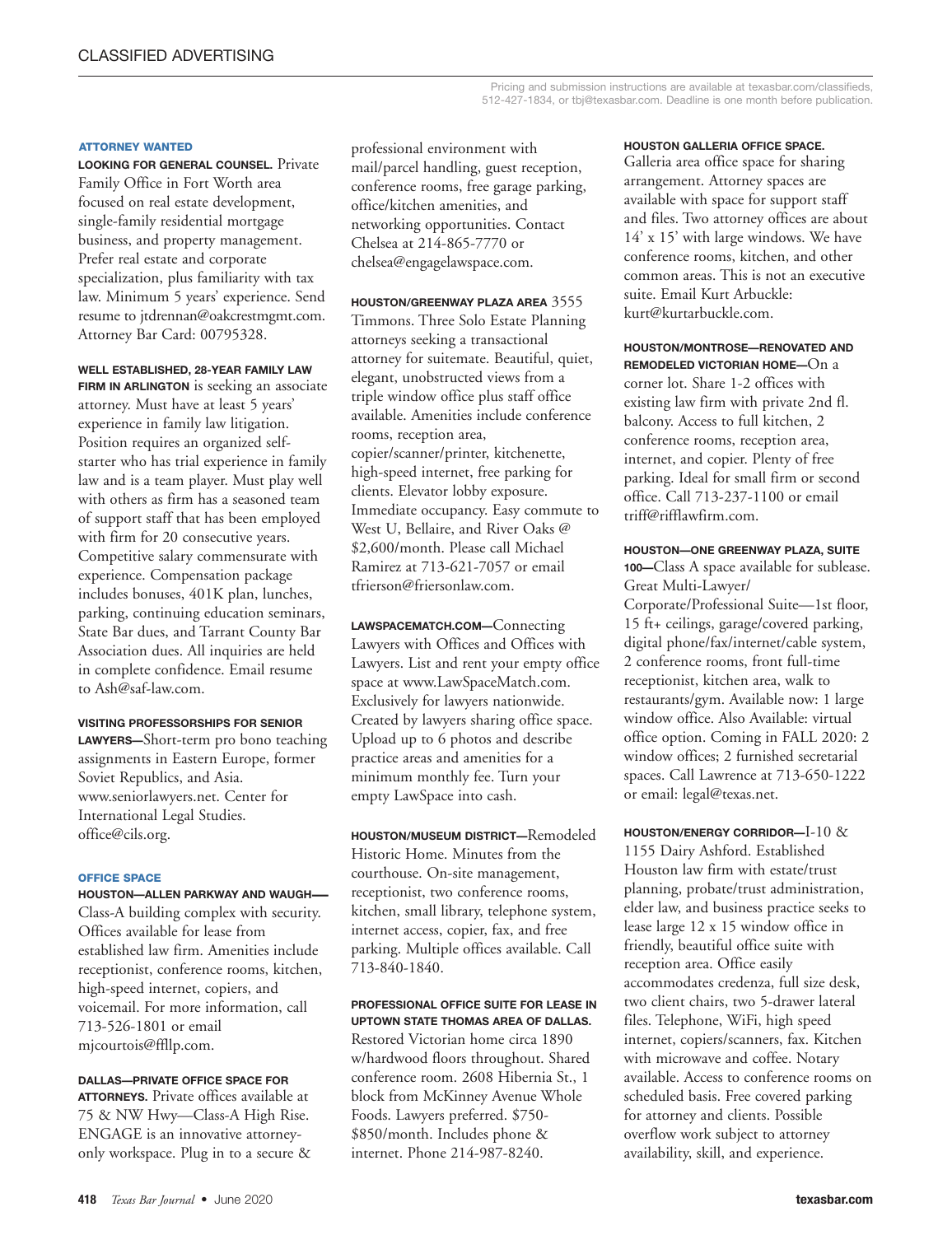#### **ATTORNEY WANTED**

**LOOKING FOR GENERAL COUNSEL.** Private Family Office in Fort Worth area focused on real estate development, single-family residential mortgage business, and property management. Prefer real estate and corporate specialization, plus familiarity with tax law. Minimum 5 years' experience. Send resume to jtdrennan@oakcrestmgmt.com. Attorney Bar Card: 00795328.

#### **WELL ESTABLISHED, 28-YEAR FAMILY LAW**

**FIRM IN ARLINGTON** is seeking an associate attorney. Must have at least 5 years' experience in family law litigation. Position requires an organized selfstarter who has trial experience in family law and is a team player. Must play well with others as firm has a seasoned team of support staff that has been employed with firm for 20 consecutive years. Competitive salary commensurate with experience. Compensation package includes bonuses, 401K plan, lunches, parking, continuing education seminars, State Bar dues, and Tarrant County Bar Association dues. All inquiries are held in complete confidence. Email resume to Ash@saf-law.com.

# **VISITING PROFESSORSHIPS FOR SENIOR**

**LAWYERS—**Short-term pro bono teaching assignments in Eastern Europe, former Soviet Republics, and Asia. www.seniorlawyers.net. Center for International Legal Studies. office@cils.org.

#### **OFFICE SPACE**

**HOUSTON—ALLEN PARKWAY AND WAUGH—** Class-A building complex with security. Offices available for lease from established law firm. Amenities include receptionist, conference rooms, kitchen, high-speed internet, copiers, and voicemail. For more information, call 713-526-1801 or email mjcourtois@ffllp.com.

### **DALLAS—PRIVATE OFFICE SPACE FOR ATTORNEYS.** Private offices available at 75 & NW Hwy—Class-A High Rise.

ENGAGE is an innovative attorneyonly workspace. Plug in to a secure & professional environment with mail/parcel handling, guest reception, conference rooms, free garage parking, office/kitchen amenities, and networking opportunities. Contact Chelsea at 214-865-7770 or chelsea@engagelawspace.com.

#### **HOUSTON/GREENWAY PLAZA AREA** 3555

Timmons. Three Solo Estate Planning attorneys seeking a transactional attorney for suitemate. Beautiful, quiet, elegant, unobstructed views from a triple window office plus staff office available. Amenities include conference rooms, reception area, copier/scanner/printer, kitchenette, high-speed internet, free parking for clients. Elevator lobby exposure. Immediate occupancy. Easy commute to West U, Bellaire, and River Oaks @ \$2,600/month. Please call Michael Ramirez at 713-621-7057 or email tfrierson@friersonlaw.com.

**LAWSPACEMATCH.COM—**Connecting Lawyers with Offices and Offices with Lawyers. List and rent your empty office space at www.LawSpaceMatch.com. Exclusively for lawyers nationwide. Created by lawyers sharing office space. Upload up to 6 photos and describe practice areas and amenities for a minimum monthly fee. Turn your empty LawSpace into cash.

**HOUSTON/MUSEUM DISTRICT—**Remodeled Historic Home. Minutes from the courthouse. On-site management, receptionist, two conference rooms, kitchen, small library, telephone system, internet access, copier, fax, and free parking. Multiple offices available. Call 713-840-1840.

# **PROFESSIONAL OFFICE SUITE FOR LEASE IN UPTOWN STATE THOMAS AREA OF DALLAS.**

Restored Victorian home circa 1890 w/hardwood floors throughout. Shared conference room. 2608 Hibernia St., 1 block from McKinney Avenue Whole Foods. Lawyers preferred. \$750- \$850/month. Includes phone & internet. Phone 214-987-8240.

#### **HOUSTON GALLERIA OFFICE SPACE.**

Galleria area office space for sharing arrangement. Attorney spaces are available with space for support staff and files. Two attorney offices are about 14' x 15' with large windows. We have conference rooms, kitchen, and other common areas. This is not an executive suite. Email Kurt Arbuckle: kurt@kurtarbuckle.com.

#### **HOUSTON/MONTROSE—RENOVATED AND REMODELED VICTORIAN HOME—**On a

corner lot. Share 1-2 offices with existing law firm with private 2nd fl. balcony. Access to full kitchen, 2 conference rooms, reception area, internet, and copier. Plenty of free parking. Ideal for small firm or second office. Call 713-237-1100 or email triff@rifflawfirm.com.

# **HOUSTON—ONE GREENWAY PLAZA, SUITE**

**100—**Class A space available for sublease. Great Multi-Lawyer/

Corporate/Professional Suite—1st floor, 15 ft+ ceilings, garage/covered parking, digital phone/fax/internet/cable system, 2 conference rooms, front full-time receptionist, kitchen area, walk to restaurants/gym. Available now: 1 large window office. Also Available: virtual office option. Coming in FALL 2020: 2 window offices; 2 furnished secretarial spaces. Call Lawrence at 713-650-1222 or email: legal@texas.net.

**HOUSTON/ENERGY CORRIDOR—**I-10 & 1155 Dairy Ashford. Established Houston law firm with estate/trust planning, probate/trust administration, elder law, and business practice seeks to lease large 12 x 15 window office in friendly, beautiful office suite with reception area. Office easily accommodates credenza, full size desk, two client chairs, two 5-drawer lateral files. Telephone, WiFi, high speed internet, copiers/scanners, fax. Kitchen with microwave and coffee. Notary available. Access to conference rooms on scheduled basis. Free covered parking for attorney and clients. Possible overflow work subject to attorney availability, skill, and experience.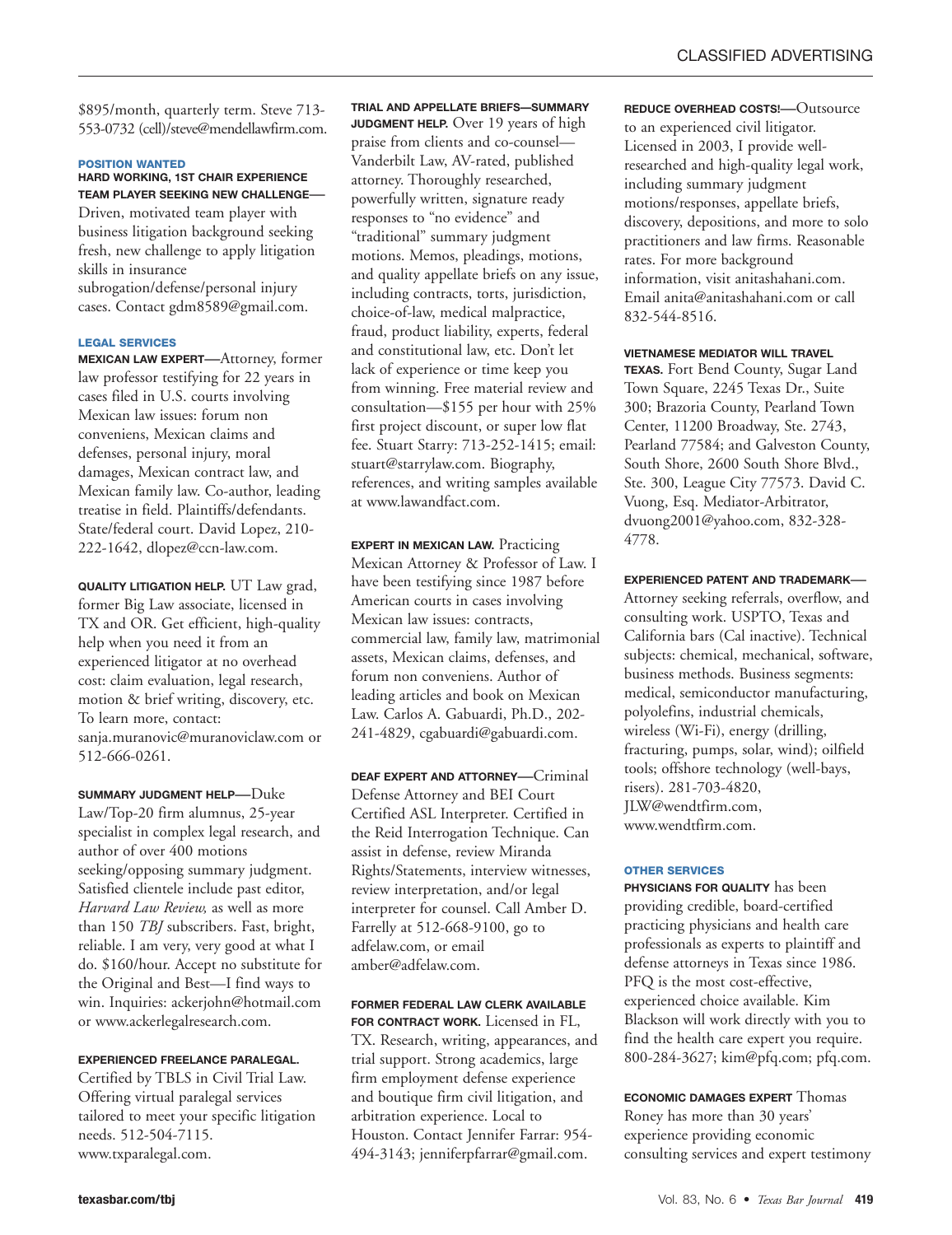\$895/month, quarterly term. Steve 713- 553-0732 (cell)/steve@mendellawfirm.com.

#### **POSITION WANTED**

#### **HARD WORKING, 1ST CHAIR EXPERIENCE TEAM PLAYER SEEKING NEW CHALLENGE—**

Driven, motivated team player with business litigation background seeking fresh, new challenge to apply litigation skills in insurance subrogation/defense/personal injury cases. Contact gdm8589@gmail.com.

#### **LEGAL SERVICES**

**MEXICAN LAW EXPERT—**Attorney, former law professor testifying for 22 years in cases filed in U.S. courts involving Mexican law issues: forum non conveniens, Mexican claims and defenses, personal injury, moral damages, Mexican contract law, and Mexican family law. Co-author, leading treatise in field. Plaintiffs/defendants. State/federal court. David Lopez, 210- 222-1642, dlopez@ccn-law.com.

**QUALITY LITIGATION HELP.** UT Law grad, former Big Law associate, licensed in TX and OR. Get efficient, high-quality help when you need it from an experienced litigator at no overhead cost: claim evaluation, legal research, motion & brief writing, discovery, etc. To learn more, contact: sanja.muranovic@muranoviclaw.com or 512-666-0261.

**SUMMARY JUDGMENT HELP—**Duke Law/Top-20 firm alumnus, 25-year specialist in complex legal research, and author of over 400 motions seeking/opposing summary judgment. Satisfied clientele include past editor, *Harvard Law Review,* as well as more than 150 *TBJ* subscribers. Fast, bright, reliable. I am very, very good at what I do. \$160/hour. Accept no substitute for the Original and Best—I find ways to win. Inquiries: ackerjohn@hotmail.com or www.ackerlegalresearch.com.

#### **EXPERIENCED FREELANCE PARALEGAL.**

Certified by TBLS in Civil Trial Law. Offering virtual paralegal services tailored to meet your specific litigation needs. 512-504-7115. www.txparalegal.com.

**TRIAL AND APPELLATE BRIEFS—SUMMARY JUDGMENT HELP.** Over 19 years of high praise from clients and co-counsel— Vanderbilt Law, AV-rated, published attorney. Thoroughly researched, powerfully written, signature ready responses to "no evidence" and "traditional" summary judgment motions. Memos, pleadings, motions, and quality appellate briefs on any issue, including contracts, torts, jurisdiction, choice-of-law, medical malpractice, fraud, product liability, experts, federal and constitutional law, etc. Don't let lack of experience or time keep you from winning. Free material review and consultation—\$155 per hour with 25% first project discount, or super low flat fee. Stuart Starry: 713-252-1415; email: stuart@starrylaw.com. Biography, references, and writing samples available at www.lawandfact.com.

**EXPERT IN MEXICAN LAW.** Practicing Mexican Attorney & Professor of Law. I have been testifying since 1987 before American courts in cases involving Mexican law issues: contracts, commercial law, family law, matrimonial assets, Mexican claims, defenses, and forum non conveniens. Author of leading articles and book on Mexican Law. Carlos A. Gabuardi, Ph.D., 202- 241-4829, cgabuardi@gabuardi.com.

**DEAF EXPERT AND ATTORNEY—**Criminal Defense Attorney and BEI Court Certified ASL Interpreter. Certified in the Reid Interrogation Technique. Can assist in defense, review Miranda Rights/Statements, interview witnesses, review interpretation, and/or legal interpreter for counsel. Call Amber D. Farrelly at 512-668-9100, go to adfelaw.com, or email amber@adfelaw.com.

#### **FORMER FEDERAL LAW CLERK AVAILABLE FOR CONTRACT WORK.** Licensed in FL,

TX. Research, writing, appearances, and trial support. Strong academics, large firm employment defense experience and boutique firm civil litigation, and arbitration experience. Local to Houston. Contact Jennifer Farrar: 954- 494-3143; jenniferpfarrar@gmail.com.

**REDUCE OVERHEAD COSTS!—**Outsource to an experienced civil litigator. Licensed in 2003, I provide wellresearched and high-quality legal work, including summary judgment motions/responses, appellate briefs, discovery, depositions, and more to solo practitioners and law firms. Reasonable rates. For more background information, visit anitashahani.com. Email anita@anitashahani.com or call 832-544-8516.

#### **VIETNAMESE MEDIATOR WILL TRAVEL**

**TEXAS.** Fort Bend County, Sugar Land Town Square, 2245 Texas Dr., Suite 300; Brazoria County, Pearland Town Center, 11200 Broadway, Ste. 2743, Pearland 77584; and Galveston County, South Shore, 2600 South Shore Blvd., Ste. 300, League City 77573. David C. Vuong, Esq. Mediator-Arbitrator, dvuong2001@yahoo.com, 832-328- 4778.

## **EXPERIENCED PATENT AND TRADEMARK—**

Attorney seeking referrals, overflow, and consulting work. USPTO, Texas and California bars (Cal inactive). Technical subjects: chemical, mechanical, software, business methods. Business segments: medical, semiconductor manufacturing, polyolefins, industrial chemicals, wireless (Wi-Fi), energy (drilling, fracturing, pumps, solar, wind); oilfield tools; offshore technology (well-bays, risers). 281-703-4820, JLW@wendtfirm.com, www.wendtfirm.com.

#### **OTHER SERVICES**

**PHYSICIANS FOR QUALITY** has been providing credible, board-certified practicing physicians and health care professionals as experts to plaintiff and defense attorneys in Texas since 1986. PFQ is the most cost-effective, experienced choice available. Kim Blackson will work directly with you to find the health care expert you require. 800-284-3627; kim@pfq.com; pfq.com.

**ECONOMIC DAMAGES EXPERT** Thomas Roney has more than 30 years' experience providing economic consulting services and expert testimony